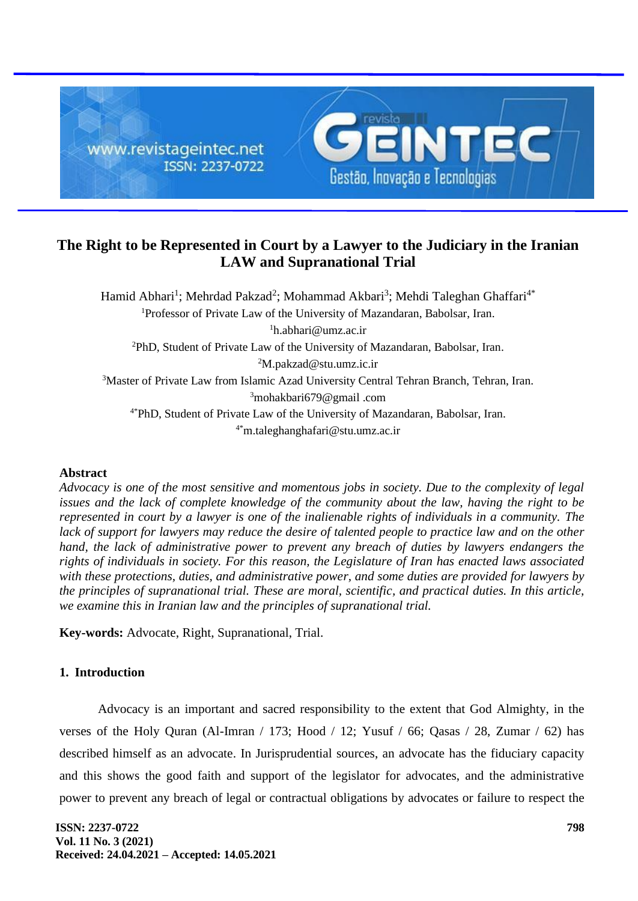

# **The Right to be Represented in Court by a Lawyer to the Judiciary in the Iranian LAW and Supranational Trial**

Hamid Abhari<sup>1</sup>; Mehrdad Pakzad<sup>2</sup>; Mohammad Akbari<sup>3</sup>; Mehdi Taleghan Ghaffari<sup>4\*</sup> <sup>1</sup>Professor of Private Law of the University of Mazandaran, Babolsar, Iran.  ${}^{1}$ h.abhari@umz.ac.ir <sup>2</sup>PhD, Student of Private Law of the University of Mazandaran, Babolsar, Iran. <sup>2</sup>M.pakzad@stu.umz.ic.ir <sup>3</sup>Master of Private Law from Islamic Azad University Central Tehran Branch, Tehran, Iran. <sup>3</sup>mohakbari679@gmail .com 4\*PhD, Student of Private Law of the University of Mazandaran, Babolsar, Iran. 4\*m.taleghanghafari@stu.umz.ac.ir

### **Abstract**

*Advocacy is one of the most sensitive and momentous jobs in society. Due to the complexity of legal issues and the lack of complete knowledge of the community about the law, having the right to be represented in court by a lawyer is one of the inalienable rights of individuals in a community. The*  lack of support for lawyers may reduce the desire of talented people to practice law and on the other *hand, the lack of administrative power to prevent any breach of duties by lawyers endangers the rights of individuals in society. For this reason, the Legislature of Iran has enacted laws associated with these protections, duties, and administrative power, and some duties are provided for lawyers by the principles of supranational trial. These are moral, scientific, and practical duties. In this article, we examine this in Iranian law and the principles of supranational trial.* 

**Key-words:** Advocate, Right, Supranational, Trial.

# **1. Introduction**

Advocacy is an important and sacred responsibility to the extent that God Almighty, in the verses of the Holy Quran (Al-Imran / 173; Hood / 12; Yusuf / 66; Qasas / 28, Zumar / 62) has described himself as an advocate. In Jurisprudential sources, an advocate has the fiduciary capacity and this shows the good faith and support of the legislator for advocates, and the administrative power to prevent any breach of legal or contractual obligations by advocates or failure to respect the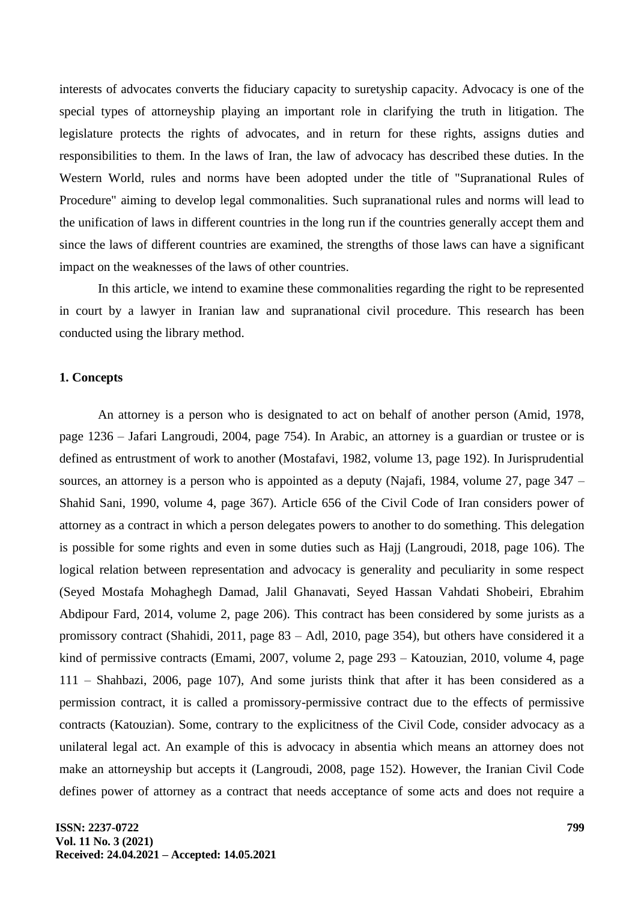interests of advocates converts the fiduciary capacity to suretyship capacity. Advocacy is one of the special types of attorneyship playing an important role in clarifying the truth in litigation. The legislature protects the rights of advocates, and in return for these rights, assigns duties and responsibilities to them. In the laws of Iran, the law of advocacy has described these duties. In the Western World, rules and norms have been adopted under the title of "Supranational Rules of Procedure" aiming to develop legal commonalities. Such supranational rules and norms will lead to the unification of laws in different countries in the long run if the countries generally accept them and since the laws of different countries are examined, the strengths of those laws can have a significant impact on the weaknesses of the laws of other countries.

In this article, we intend to examine these commonalities regarding the right to be represented in court by a lawyer in Iranian law and supranational civil procedure. This research has been conducted using the library method.

#### **1. Concepts**

An attorney is a person who is designated to act on behalf of another person (Amid, 1978, page 1236 – Jafari Langroudi, 2004, page 754). In Arabic, an attorney is a guardian or trustee or is defined as entrustment of work to another (Mostafavi, 1982, volume 13, page 192). In Jurisprudential sources, an attorney is a person who is appointed as a deputy (Najafi, 1984, volume 27, page  $347 -$ Shahid Sani, 1990, volume 4, page 367). Article 656 of the Civil Code of Iran considers power of attorney as a contract in which a person delegates powers to another to do something. This delegation is possible for some rights and even in some duties such as Hajj (Langroudi, 2018, page 106). The logical relation between representation and advocacy is generality and peculiarity in some respect (Seyed Mostafa Mohaghegh Damad, Jalil Ghanavati, Seyed Hassan Vahdati Shobeiri, Ebrahim Abdipour Fard, 2014, volume 2, page 206). This contract has been considered by some jurists as a promissory contract (Shahidi, 2011, page 83 – Adl, 2010, page 354), but others have considered it a kind of permissive contracts (Emami, 2007, volume 2, page 293 – Katouzian, 2010, volume 4, page 111 – Shahbazi, 2006, page 107), And some jurists think that after it has been considered as a permission contract, it is called a promissory-permissive contract due to the effects of permissive contracts (Katouzian). Some, contrary to the explicitness of the Civil Code, consider advocacy as a unilateral legal act. An example of this is advocacy in absentia which means an attorney does not make an attorneyship but accepts it (Langroudi, 2008, page 152). However, the Iranian Civil Code defines power of attorney as a contract that needs acceptance of some acts and does not require a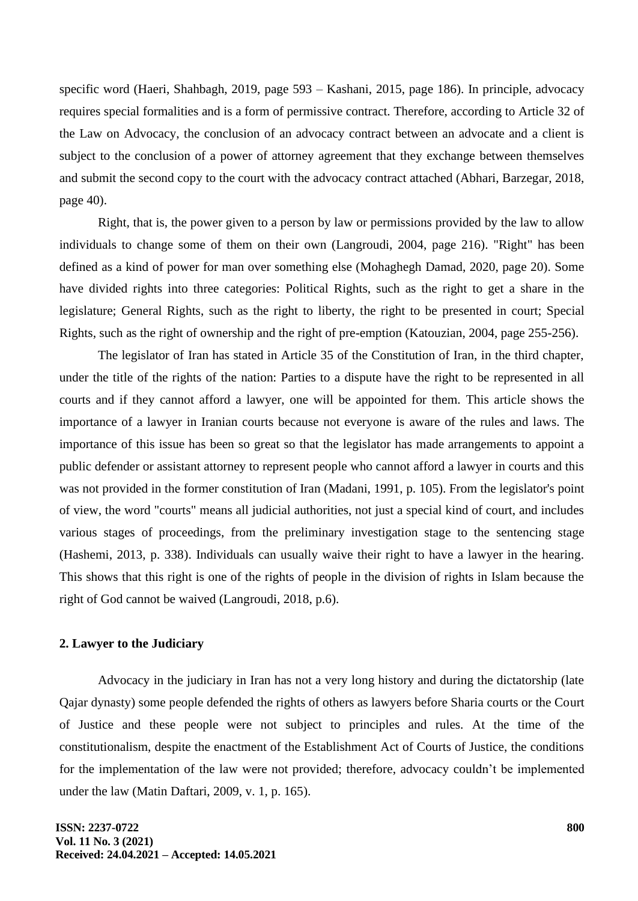specific word (Haeri, Shahbagh, 2019, page 593 – Kashani, 2015, page 186). In principle, advocacy requires special formalities and is a form of permissive contract. Therefore, according to Article 32 of the Law on Advocacy, the conclusion of an advocacy contract between an advocate and a client is subject to the conclusion of a power of attorney agreement that they exchange between themselves and submit the second copy to the court with the advocacy contract attached (Abhari, Barzegar, 2018, page 40).

Right, that is, the power given to a person by law or permissions provided by the law to allow individuals to change some of them on their own (Langroudi, 2004, page 216). "Right" has been defined as a kind of power for man over something else (Mohaghegh Damad, 2020, page 20). Some have divided rights into three categories: Political Rights, such as the right to get a share in the legislature; General Rights, such as the right to liberty, the right to be presented in court; Special Rights, such as the right of ownership and the right of pre-emption (Katouzian, 2004, page 255-256).

The legislator of Iran has stated in Article 35 of the Constitution of Iran, in the third chapter, under the title of the rights of the nation: Parties to a dispute have the right to be represented in all courts and if they cannot afford a lawyer, one will be appointed for them. This article shows the importance of a lawyer in Iranian courts because not everyone is aware of the rules and laws. The importance of this issue has been so great so that the legislator has made arrangements to appoint a public defender or assistant attorney to represent people who cannot afford a lawyer in courts and this was not provided in the former constitution of Iran (Madani, 1991, p. 105). From the legislator's point of view, the word "courts" means all judicial authorities, not just a special kind of court, and includes various stages of proceedings, from the preliminary investigation stage to the sentencing stage (Hashemi, 2013, p. 338). Individuals can usually waive their right to have a lawyer in the hearing. This shows that this right is one of the rights of people in the division of rights in Islam because the right of God cannot be waived (Langroudi, 2018, p.6).

# **2. Lawyer to the Judiciary**

Advocacy in the judiciary in Iran has not a very long history and during the dictatorship (late Qajar dynasty) some people defended the rights of others as lawyers before Sharia courts or the Court of Justice and these people were not subject to principles and rules. At the time of the constitutionalism, despite the enactment of the Establishment Act of Courts of Justice, the conditions for the implementation of the law were not provided; therefore, advocacy couldn't be implemented under the law (Matin Daftari, 2009, v. 1, p. 165).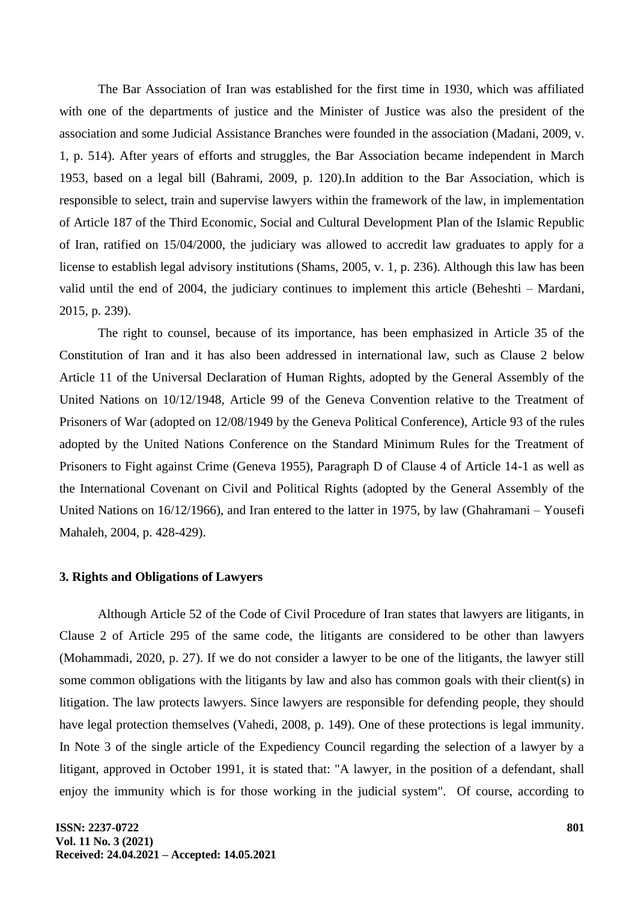The Bar Association of Iran was established for the first time in 1930, which was affiliated with one of the departments of justice and the Minister of Justice was also the president of the association and some Judicial Assistance Branches were founded in the association (Madani, 2009, v. 1, p. 514). After years of efforts and struggles, the Bar Association became independent in March 1953, based on a legal bill (Bahrami, 2009, p. 120).In addition to the Bar Association, which is responsible to select, train and supervise lawyers within the framework of the law, in implementation of Article 187 of the Third Economic, Social and Cultural Development Plan of the Islamic Republic of Iran, ratified on 15/04/2000, the judiciary was allowed to accredit law graduates to apply for a license to establish legal advisory institutions (Shams, 2005, v. 1, p. 236). Although this law has been valid until the end of 2004, the judiciary continues to implement this article (Beheshti – Mardani, 2015, p. 239).

The right to counsel, because of its importance, has been emphasized in Article 35 of the Constitution of Iran and it has also been addressed in international law, such as Clause 2 below Article 11 of the Universal Declaration of Human Rights, adopted by the General Assembly of the United Nations on 10/12/1948, Article 99 of the Geneva Convention relative to the Treatment of Prisoners of War (adopted on 12/08/1949 by the Geneva Political Conference), Article 93 of the rules adopted by the United Nations Conference on the Standard Minimum Rules for the Treatment of Prisoners to Fight against Crime (Geneva 1955), Paragraph D of Clause 4 of Article 14-1 as well as the International Covenant on Civil and Political Rights (adopted by the General Assembly of the United Nations on  $16/12/1966$ ), and Iran entered to the latter in 1975, by law (Ghahramani – Yousefi Mahaleh, 2004, p. 428-429).

### **3. Rights and Obligations of Lawyers**

Although Article 52 of the Code of Civil Procedure of Iran states that lawyers are litigants, in Clause 2 of Article 295 of the same code, the litigants are considered to be other than lawyers (Mohammadi, 2020, p. 27). If we do not consider a lawyer to be one of the litigants, the lawyer still some common obligations with the litigants by law and also has common goals with their client(s) in litigation. The law protects lawyers. Since lawyers are responsible for defending people, they should have legal protection themselves (Vahedi, 2008, p. 149). One of these protections is legal immunity. In Note 3 of the single article of the Expediency Council regarding the selection of a lawyer by a litigant, approved in October 1991, it is stated that: "A lawyer, in the position of a defendant, shall enjoy the immunity which is for those working in the judicial system". Of course, according to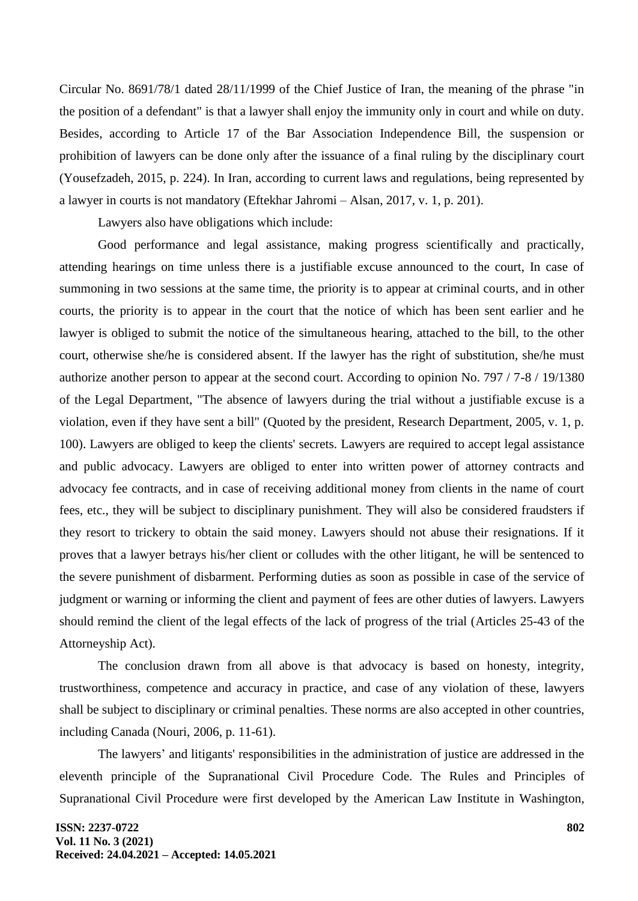Circular No. 8691/78/1 dated 28/11/1999 of the Chief Justice of Iran, the meaning of the phrase "in the position of a defendant" is that a lawyer shall enjoy the immunity only in court and while on duty. Besides, according to Article 17 of the Bar Association Independence Bill, the suspension or prohibition of lawyers can be done only after the issuance of a final ruling by the disciplinary court (Yousefzadeh, 2015, p. 224). In Iran, according to current laws and regulations, being represented by a lawyer in courts is not mandatory (Eftekhar Jahromi – Alsan, 2017, v. 1, p. 201).

Lawyers also have obligations which include:

Good performance and legal assistance, making progress scientifically and practically, attending hearings on time unless there is a justifiable excuse announced to the court, In case of summoning in two sessions at the same time, the priority is to appear at criminal courts, and in other courts, the priority is to appear in the court that the notice of which has been sent earlier and he lawyer is obliged to submit the notice of the simultaneous hearing, attached to the bill, to the other court, otherwise she/he is considered absent. If the lawyer has the right of substitution, she/he must authorize another person to appear at the second court. According to opinion No. 797 / 7-8 / 19/1380 of the Legal Department, "The absence of lawyers during the trial without a justifiable excuse is a violation, even if they have sent a bill" (Quoted by the president, Research Department, 2005, v. 1, p. 100). Lawyers are obliged to keep the clients' secrets. Lawyers are required to accept legal assistance and public advocacy. Lawyers are obliged to enter into written power of attorney contracts and advocacy fee contracts, and in case of receiving additional money from clients in the name of court fees, etc., they will be subject to disciplinary punishment. They will also be considered fraudsters if they resort to trickery to obtain the said money. Lawyers should not abuse their resignations. If it proves that a lawyer betrays his/her client or colludes with the other litigant, he will be sentenced to the severe punishment of disbarment. Performing duties as soon as possible in case of the service of judgment or warning or informing the client and payment of fees are other duties of lawyers. Lawyers should remind the client of the legal effects of the lack of progress of the trial (Articles 25-43 of the Attorneyship Act).

The conclusion drawn from all above is that advocacy is based on honesty, integrity, trustworthiness, competence and accuracy in practice, and case of any violation of these, lawyers shall be subject to disciplinary or criminal penalties. These norms are also accepted in other countries, including Canada (Nouri, 2006, p. 11-61).

The lawyers' and litigants' responsibilities in the administration of justice are addressed in the eleventh principle of the Supranational Civil Procedure Code. The Rules and Principles of Supranational Civil Procedure were first developed by the American Law Institute in Washington,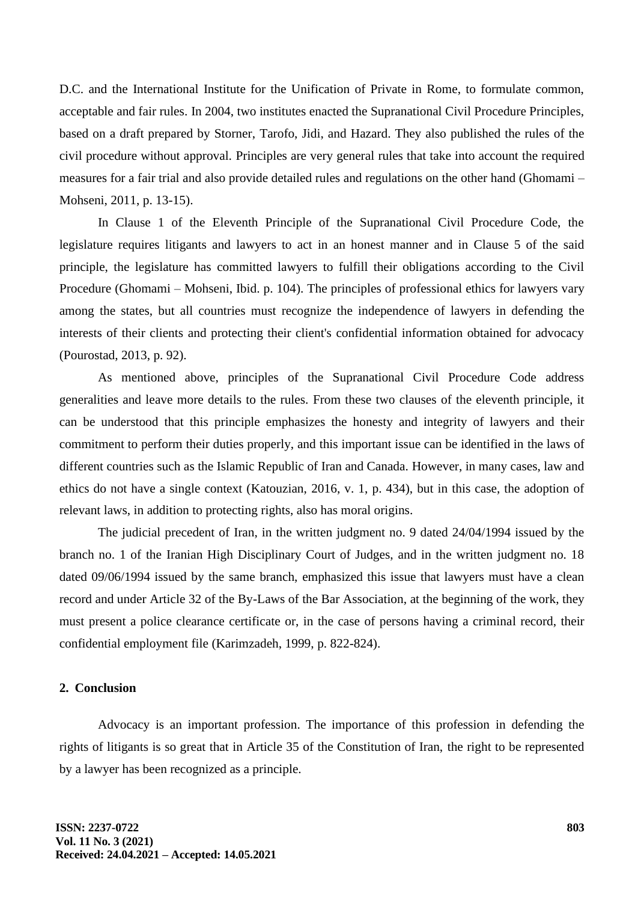D.C. and the International Institute for the Unification of Private in Rome, to formulate common, acceptable and fair rules. In 2004, two institutes enacted the Supranational Civil Procedure Principles, based on a draft prepared by Storner, Tarofo, Jidi, and Hazard. They also published the rules of the civil procedure without approval. Principles are very general rules that take into account the required measures for a fair trial and also provide detailed rules and regulations on the other hand (Ghomami – Mohseni, 2011, p. 13-15).

In Clause 1 of the Eleventh Principle of the Supranational Civil Procedure Code, the legislature requires litigants and lawyers to act in an honest manner and in Clause 5 of the said principle, the legislature has committed lawyers to fulfill their obligations according to the Civil Procedure (Ghomami – Mohseni, Ibid. p. 104). The principles of professional ethics for lawyers vary among the states, but all countries must recognize the independence of lawyers in defending the interests of their clients and protecting their client's confidential information obtained for advocacy (Pourostad, 2013, p. 92).

As mentioned above, principles of the Supranational Civil Procedure Code address generalities and leave more details to the rules. From these two clauses of the eleventh principle, it can be understood that this principle emphasizes the honesty and integrity of lawyers and their commitment to perform their duties properly, and this important issue can be identified in the laws of different countries such as the Islamic Republic of Iran and Canada. However, in many cases, law and ethics do not have a single context (Katouzian, 2016, v. 1, p. 434), but in this case, the adoption of relevant laws, in addition to protecting rights, also has moral origins.

The judicial precedent of Iran, in the written judgment no. 9 dated 24/04/1994 issued by the branch no. 1 of the Iranian High Disciplinary Court of Judges, and in the written judgment no. 18 dated 09/06/1994 issued by the same branch, emphasized this issue that lawyers must have a clean record and under Article 32 of the By-Laws of the Bar Association, at the beginning of the work, they must present a police clearance certificate or, in the case of persons having a criminal record, their confidential employment file (Karimzadeh, 1999, p. 822-824).

#### **2. Conclusion**

Advocacy is an important profession. The importance of this profession in defending the rights of litigants is so great that in Article 35 of the Constitution of Iran, the right to be represented by a lawyer has been recognized as a principle.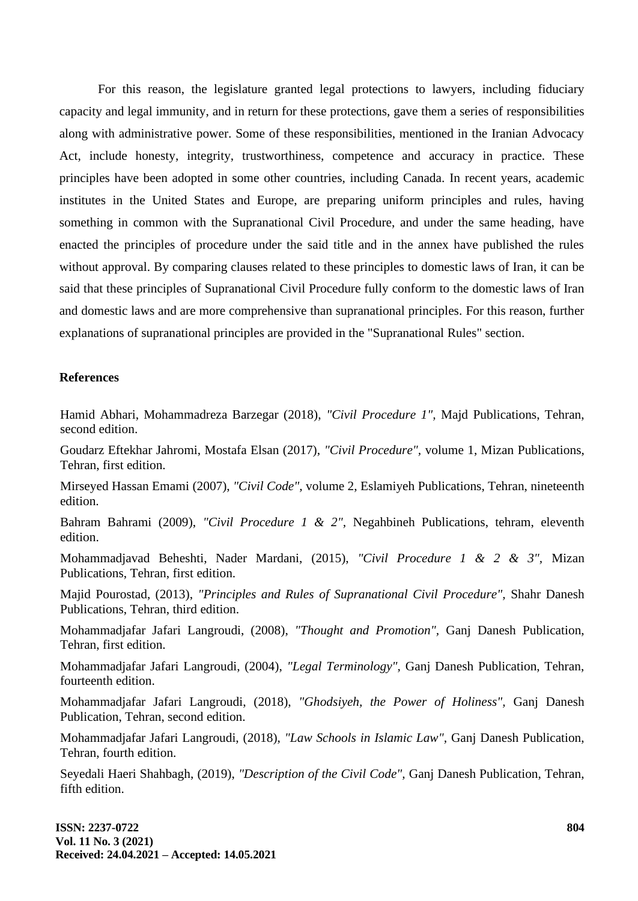For this reason, the legislature granted legal protections to lawyers, including fiduciary capacity and legal immunity, and in return for these protections, gave them a series of responsibilities along with administrative power. Some of these responsibilities, mentioned in the Iranian Advocacy Act, include honesty, integrity, trustworthiness, competence and accuracy in practice. These principles have been adopted in some other countries, including Canada. In recent years, academic institutes in the United States and Europe, are preparing uniform principles and rules, having something in common with the Supranational Civil Procedure, and under the same heading, have enacted the principles of procedure under the said title and in the annex have published the rules without approval. By comparing clauses related to these principles to domestic laws of Iran, it can be said that these principles of Supranational Civil Procedure fully conform to the domestic laws of Iran and domestic laws and are more comprehensive than supranational principles. For this reason, further explanations of supranational principles are provided in the "Supranational Rules" section.

# **References**

Hamid Abhari, Mohammadreza Barzegar (2018), *"Civil Procedure 1",* Majd Publications, Tehran, second edition.

Goudarz Eftekhar Jahromi, Mostafa Elsan (2017), *"Civil Procedure",* volume 1, Mizan Publications, Tehran, first edition.

Mirseyed Hassan Emami (2007), *"Civil Code",* volume 2, Eslamiyeh Publications, Tehran, nineteenth edition.

Bahram Bahrami (2009), *"Civil Procedure 1 & 2",* Negahbineh Publications, tehram, eleventh edition.

Mohammadjavad Beheshti, Nader Mardani, (2015), *"Civil Procedure 1 & 2 & 3",* Mizan Publications, Tehran, first edition.

Majid Pourostad, (2013), *"Principles and Rules of Supranational Civil Procedure",* Shahr Danesh Publications, Tehran, third edition.

Mohammadjafar Jafari Langroudi, (2008), *"Thought and Promotion",* Ganj Danesh Publication, Tehran, first edition.

Mohammadjafar Jafari Langroudi, (2004), *"Legal Terminology",* Ganj Danesh Publication, Tehran, fourteenth edition.

Mohammadjafar Jafari Langroudi, (2018), *"Ghodsiyeh, the Power of Holiness",* Ganj Danesh Publication, Tehran, second edition.

Mohammadjafar Jafari Langroudi, (2018), *"Law Schools in Islamic Law",* Ganj Danesh Publication, Tehran, fourth edition.

Seyedali Haeri Shahbagh, (2019), *"Description of the Civil Code",* Ganj Danesh Publication, Tehran, fifth edition.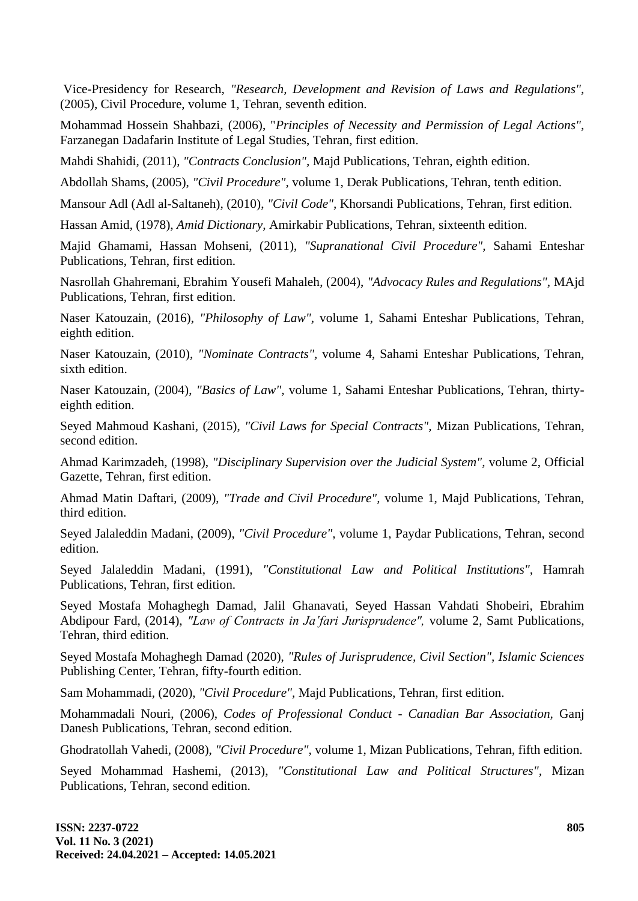Vice-Presidency for Research, *"Research, Development and Revision of Laws and Regulations",* (2005), Civil Procedure, volume 1, Tehran, seventh edition.

Mohammad Hossein Shahbazi, (2006), "*Principles of Necessity and Permission of Legal Actions",* Farzanegan Dadafarin Institute of Legal Studies, Tehran, first edition.

Mahdi Shahidi, (2011), *"Contracts Conclusion",* Majd Publications, Tehran, eighth edition.

Abdollah Shams, (2005), *"Civil Procedure",* volume 1, Derak Publications, Tehran, tenth edition.

Mansour Adl (Adl al-Saltaneh), (2010), *"Civil Code",* Khorsandi Publications, Tehran, first edition.

Hassan Amid, (1978), *Amid Dictionary,* Amirkabir Publications, Tehran, sixteenth edition.

Majid Ghamami, Hassan Mohseni, (2011), *"Supranational Civil Procedure",* Sahami Enteshar Publications, Tehran, first edition.

Nasrollah Ghahremani, Ebrahim Yousefi Mahaleh, (2004), *"Advocacy Rules and Regulations",* MAjd Publications, Tehran, first edition.

Naser Katouzain, (2016), *"Philosophy of Law",* volume 1, Sahami Enteshar Publications, Tehran, eighth edition.

Naser Katouzain, (2010), *"Nominate Contracts",* volume 4, Sahami Enteshar Publications, Tehran, sixth edition.

Naser Katouzain, (2004), *"Basics of Law",* volume 1, Sahami Enteshar Publications, Tehran, thirtyeighth edition.

Seyed Mahmoud Kashani, (2015), *"Civil Laws for Special Contracts",* Mizan Publications, Tehran, second edition.

Ahmad Karimzadeh, (1998), *"Disciplinary Supervision over the Judicial System",* volume 2, Official Gazette, Tehran, first edition.

Ahmad Matin Daftari, (2009), *"Trade and Civil Procedure",* volume 1, Majd Publications, Tehran, third edition.

Seyed Jalaleddin Madani, (2009), *"Civil Procedure",* volume 1, Paydar Publications, Tehran, second edition.

Seyed Jalaleddin Madani, (1991), *"Constitutional Law and Political Institutions",* Hamrah Publications, Tehran, first edition.

Seyed Mostafa Mohaghegh Damad, Jalil Ghanavati, Seyed Hassan Vahdati Shobeiri, Ebrahim Abdipour Fard, (2014), "Law of Contracts in Ja'fari Jurisprudence", volume 2, Samt Publications, Tehran, third edition.

Seyed Mostafa Mohaghegh Damad (2020), *"Rules of Jurisprudence, Civil Section", Islamic Sciences* Publishing Center, Tehran, fifty-fourth edition.

Sam Mohammadi, (2020), *"Civil Procedure",* Majd Publications, Tehran, first edition.

Mohammadali Nouri, (2006), *Codes of Professional Conduct - Canadian Bar Association,* Ganj Danesh Publications, Tehran, second edition.

Ghodratollah Vahedi, (2008), *"Civil Procedure",* volume 1, Mizan Publications, Tehran, fifth edition.

Seyed Mohammad Hashemi, (2013), *"Constitutional Law and Political Structures",* Mizan Publications, Tehran, second edition.